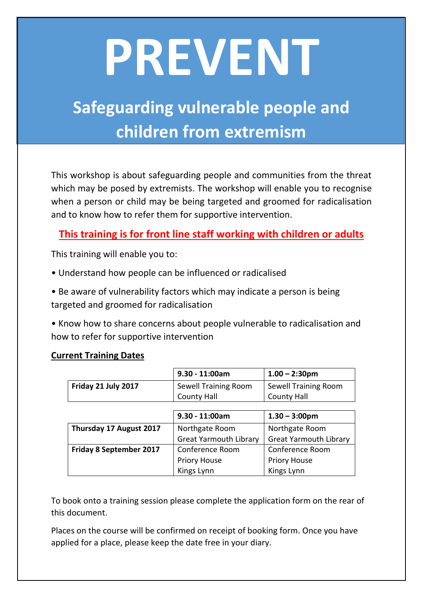## **PREVENT**

## **Safeguarding vulnerable people and children from extremism**

This workshop is about safeguarding people and communities from the threat which may be posed by extremists. The workshop will enable you to recognise when a person or child may be being targeted and groomed for radicalisation and to know how to refer them for supportive intervention.

## **This training is for front line staff working with children or adults**

This training will enable you to:

- Understand how people can be influenced or radicalised
- Be aware of vulnerability factors which may indicate a person is being targeted and groomed for radicalisation
- Know how to share concerns about people vulnerable to radicalisation and how to refer for supportive intervention

## **Current Training Dates**

|                                | $9.30 - 11:00am$              | $1.00 - 2:30$ pm                                |  |
|--------------------------------|-------------------------------|-------------------------------------------------|--|
| Friday 21 July 2017            | Sewell Training Room          | Sewell Training Room                            |  |
|                                | <b>County Hall</b>            | <b>County Hall</b>                              |  |
|                                |                               |                                                 |  |
|                                | $9.30 - 11:00am$              | $1.30 - 3:00$ pm                                |  |
| Thursday 17 August 2017        | Northgate Room                | Northgate Room<br><b>Great Yarmouth Library</b> |  |
|                                | <b>Great Yarmouth Library</b> |                                                 |  |
| <b>Friday 8 September 2017</b> | Conference Room               | Conference Room                                 |  |
|                                | <b>Priory House</b>           | <b>Priory House</b>                             |  |
|                                | Kings Lynn                    | Kings Lynn                                      |  |

To book onto a training session please complete the application form on the rear of this document.

Places on the course will be confirmed on receipt of booking form. Once you have applied for a place, please keep the date free in your diary.